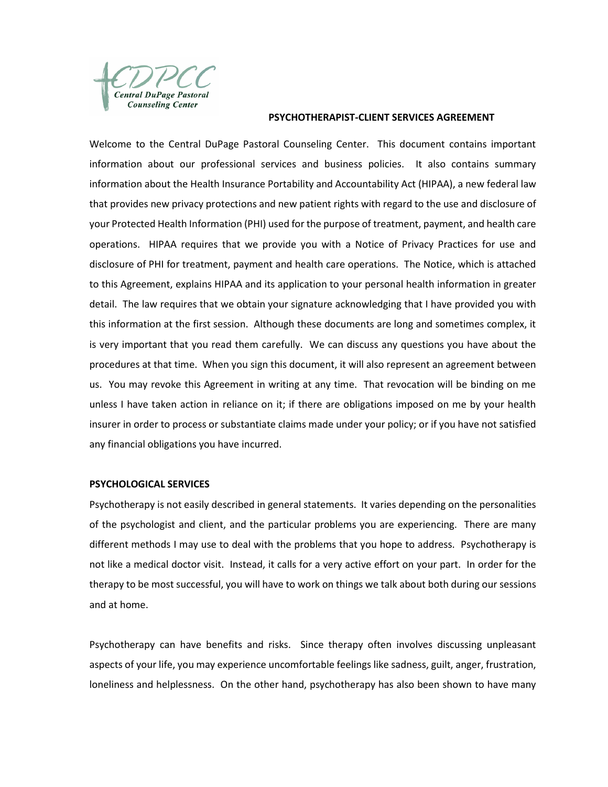

# **PSYCHOTHERAPIST-CLIENT SERVICES AGREEMENT**

Welcome to the Central DuPage Pastoral Counseling Center. This document contains important information about our professional services and business policies. It also contains summary information about the Health Insurance Portability and Accountability Act (HIPAA), a new federal law that provides new privacy protections and new patient rights with regard to the use and disclosure of your Protected Health Information (PHI) used for the purpose of treatment, payment, and health care operations. HIPAA requires that we provide you with a Notice of Privacy Practices for use and disclosure of PHI for treatment, payment and health care operations. The Notice, which is attached to this Agreement, explains HIPAA and its application to your personal health information in greater detail. The law requires that we obtain your signature acknowledging that I have provided you with this information at the first session. Although these documents are long and sometimes complex, it is very important that you read them carefully. We can discuss any questions you have about the procedures at that time. When you sign this document, it will also represent an agreement between us. You may revoke this Agreement in writing at any time. That revocation will be binding on me unless I have taken action in reliance on it; if there are obligations imposed on me by your health insurer in order to process or substantiate claims made under your policy; or if you have not satisfied any financial obligations you have incurred.

### **PSYCHOLOGICAL SERVICES**

Psychotherapy is not easily described in general statements. It varies depending on the personalities of the psychologist and client, and the particular problems you are experiencing. There are many different methods I may use to deal with the problems that you hope to address. Psychotherapy is not like a medical doctor visit. Instead, it calls for a very active effort on your part. In order for the therapy to be most successful, you will have to work on things we talk about both during our sessions and at home.

Psychotherapy can have benefits and risks. Since therapy often involves discussing unpleasant aspects of your life, you may experience uncomfortable feelings like sadness, guilt, anger, frustration, loneliness and helplessness. On the other hand, psychotherapy has also been shown to have many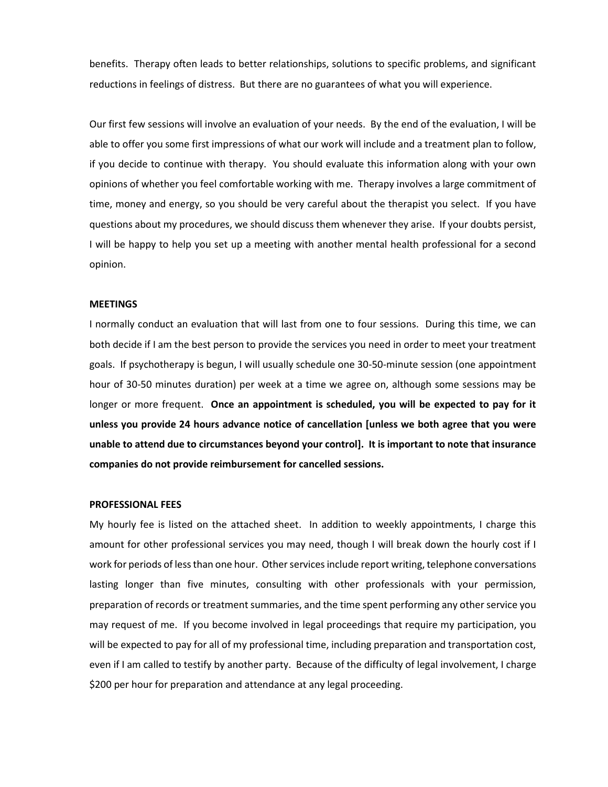benefits. Therapy often leads to better relationships, solutions to specific problems, and significant reductions in feelings of distress. But there are no guarantees of what you will experience.

Our first few sessions will involve an evaluation of your needs. By the end of the evaluation, I will be able to offer you some first impressions of what our work will include and a treatment plan to follow, if you decide to continue with therapy. You should evaluate this information along with your own opinions of whether you feel comfortable working with me. Therapy involves a large commitment of time, money and energy, so you should be very careful about the therapist you select. If you have questions about my procedures, we should discuss them whenever they arise. If your doubts persist, I will be happy to help you set up a meeting with another mental health professional for a second opinion.

#### **MEETINGS**

I normally conduct an evaluation that will last from one to four sessions. During this time, we can both decide if I am the best person to provide the services you need in order to meet your treatment goals. If psychotherapy is begun, I will usually schedule one 30-50-minute session (one appointment hour of 30-50 minutes duration) per week at a time we agree on, although some sessions may be longer or more frequent. **Once an appointment is scheduled, you will be expected to pay for it unless you provide 24 hours advance notice of cancellation [unless we both agree that you were unable to attend due to circumstances beyond your control]. It is important to note that insurance companies do not provide reimbursement for cancelled sessions.** 

# **PROFESSIONAL FEES**

My hourly fee is listed on the attached sheet. In addition to weekly appointments, I charge this amount for other professional services you may need, though I will break down the hourly cost if I work for periods of less than one hour. Other services include report writing, telephone conversations lasting longer than five minutes, consulting with other professionals with your permission, preparation of records or treatment summaries, and the time spent performing any other service you may request of me. If you become involved in legal proceedings that require my participation, you will be expected to pay for all of my professional time, including preparation and transportation cost, even if I am called to testify by another party. Because of the difficulty of legal involvement, I charge \$200 per hour for preparation and attendance at any legal proceeding.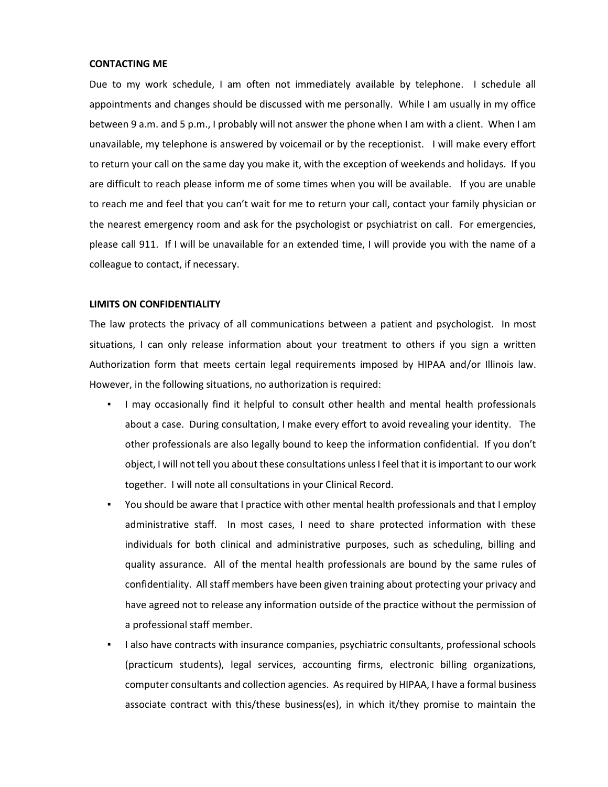# **CONTACTING ME**

Due to my work schedule, I am often not immediately available by telephone. I schedule all appointments and changes should be discussed with me personally. While I am usually in my office between 9 a.m. and 5 p.m., I probably will not answer the phone when I am with a client. When I am unavailable, my telephone is answered by voicemail or by the receptionist. I will make every effort to return your call on the same day you make it, with the exception of weekends and holidays. If you are difficult to reach please inform me of some times when you will be available. If you are unable to reach me and feel that you can't wait for me to return your call, contact your family physician or the nearest emergency room and ask for the psychologist or psychiatrist on call. For emergencies, please call 911. If I will be unavailable for an extended time, I will provide you with the name of a colleague to contact, if necessary.

#### **LIMITS ON CONFIDENTIALITY**

The law protects the privacy of all communications between a patient and psychologist. In most situations, I can only release information about your treatment to others if you sign a written Authorization form that meets certain legal requirements imposed by HIPAA and/or Illinois law. However, in the following situations, no authorization is required:

- I may occasionally find it helpful to consult other health and mental health professionals about a case. During consultation, I make every effort to avoid revealing your identity. The other professionals are also legally bound to keep the information confidential. If you don't object, I will not tell you about these consultations unless I feel that it is important to our work together. I will note all consultations in your Clinical Record.
- You should be aware that I practice with other mental health professionals and that I employ administrative staff. In most cases, I need to share protected information with these individuals for both clinical and administrative purposes, such as scheduling, billing and quality assurance. All of the mental health professionals are bound by the same rules of confidentiality. All staff members have been given training about protecting your privacy and have agreed not to release any information outside of the practice without the permission of a professional staff member.
- I also have contracts with insurance companies, psychiatric consultants, professional schools (practicum students), legal services, accounting firms, electronic billing organizations, computer consultants and collection agencies. As required by HIPAA, I have a formal business associate contract with this/these business(es), in which it/they promise to maintain the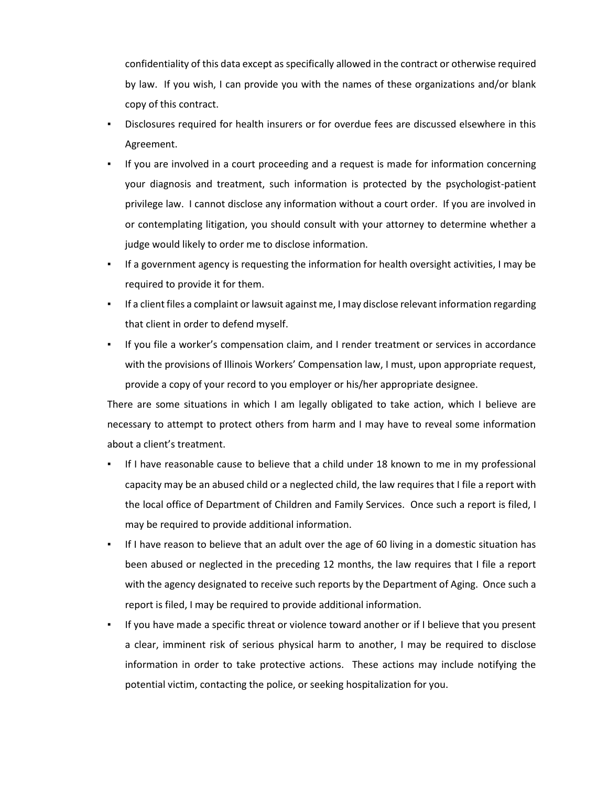confidentiality of this data except as specifically allowed in the contract or otherwise required by law. If you wish, I can provide you with the names of these organizations and/or blank copy of this contract.

- Disclosures required for health insurers or for overdue fees are discussed elsewhere in this Agreement.
- If you are involved in a court proceeding and a request is made for information concerning your diagnosis and treatment, such information is protected by the psychologist-patient privilege law. I cannot disclose any information without a court order. If you are involved in or contemplating litigation, you should consult with your attorney to determine whether a judge would likely to order me to disclose information.
- If a government agency is requesting the information for health oversight activities, I may be required to provide it for them.
- If a client files a complaint or lawsuit against me, I may disclose relevant information regarding that client in order to defend myself.
- If you file a worker's compensation claim, and I render treatment or services in accordance with the provisions of Illinois Workers' Compensation law, I must, upon appropriate request, provide a copy of your record to you employer or his/her appropriate designee.

There are some situations in which I am legally obligated to take action, which I believe are necessary to attempt to protect others from harm and I may have to reveal some information about a client's treatment.

- If I have reasonable cause to believe that a child under 18 known to me in my professional capacity may be an abused child or a neglected child, the law requires that I file a report with the local office of Department of Children and Family Services. Once such a report is filed, I may be required to provide additional information.
- If I have reason to believe that an adult over the age of 60 living in a domestic situation has been abused or neglected in the preceding 12 months, the law requires that I file a report with the agency designated to receive such reports by the Department of Aging. Once such a report is filed, I may be required to provide additional information.
- If you have made a specific threat or violence toward another or if I believe that you present a clear, imminent risk of serious physical harm to another, I may be required to disclose information in order to take protective actions. These actions may include notifying the potential victim, contacting the police, or seeking hospitalization for you.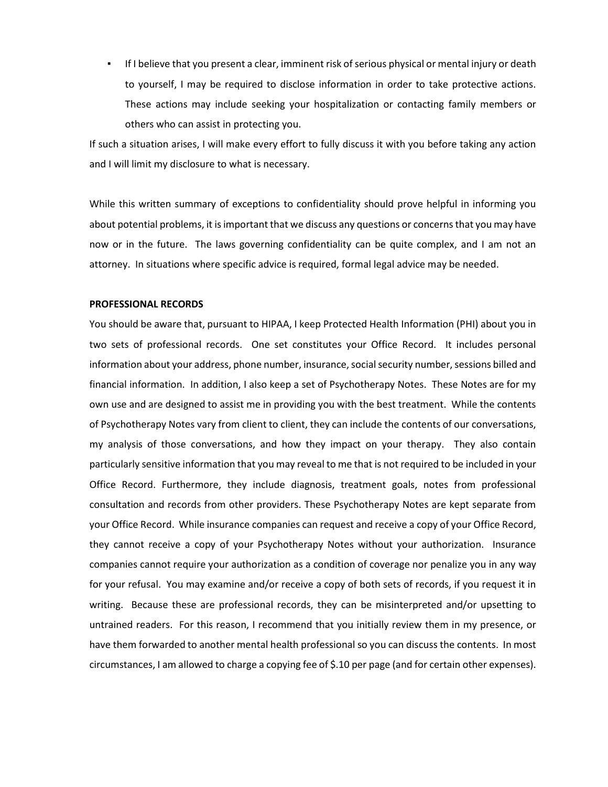**•** If I believe that you present a clear, imminent risk of serious physical or mental injury or death to yourself, I may be required to disclose information in order to take protective actions. These actions may include seeking your hospitalization or contacting family members or others who can assist in protecting you.

If such a situation arises, I will make every effort to fully discuss it with you before taking any action and I will limit my disclosure to what is necessary.

While this written summary of exceptions to confidentiality should prove helpful in informing you about potential problems, it is important that we discuss any questions or concerns that you may have now or in the future. The laws governing confidentiality can be quite complex, and I am not an attorney. In situations where specific advice is required, formal legal advice may be needed.

# **PROFESSIONAL RECORDS**

You should be aware that, pursuant to HIPAA, I keep Protected Health Information (PHI) about you in two sets of professional records. One set constitutes your Office Record. It includes personal information about your address, phone number, insurance, social security number, sessions billed and financial information. In addition, I also keep a set of Psychotherapy Notes. These Notes are for my own use and are designed to assist me in providing you with the best treatment. While the contents of Psychotherapy Notes vary from client to client, they can include the contents of our conversations, my analysis of those conversations, and how they impact on your therapy. They also contain particularly sensitive information that you may reveal to me that is not required to be included in your Office Record. Furthermore, they include diagnosis, treatment goals, notes from professional consultation and records from other providers. These Psychotherapy Notes are kept separate from your Office Record. While insurance companies can request and receive a copy of your Office Record, they cannot receive a copy of your Psychotherapy Notes without your authorization. Insurance companies cannot require your authorization as a condition of coverage nor penalize you in any way for your refusal. You may examine and/or receive a copy of both sets of records, if you request it in writing. Because these are professional records, they can be misinterpreted and/or upsetting to untrained readers. For this reason, I recommend that you initially review them in my presence, or have them forwarded to another mental health professional so you can discuss the contents. In most circumstances, I am allowed to charge a copying fee of \$.10 per page (and for certain other expenses).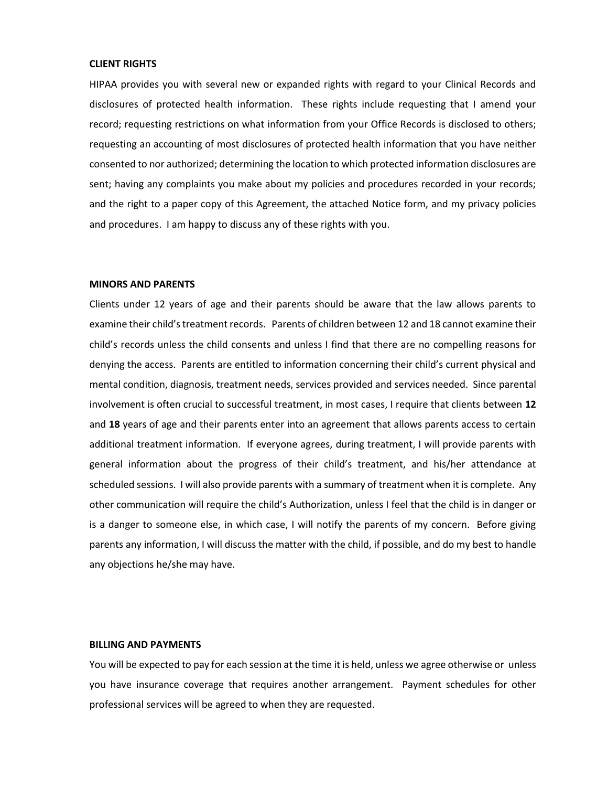## **CLIENT RIGHTS**

HIPAA provides you with several new or expanded rights with regard to your Clinical Records and disclosures of protected health information. These rights include requesting that I amend your record; requesting restrictions on what information from your Office Records is disclosed to others; requesting an accounting of most disclosures of protected health information that you have neither consented to nor authorized; determining the location to which protected information disclosures are sent; having any complaints you make about my policies and procedures recorded in your records; and the right to a paper copy of this Agreement, the attached Notice form, and my privacy policies and procedures. I am happy to discuss any of these rights with you.

## **MINORS AND PARENTS**

Clients under 12 years of age and their parents should be aware that the law allows parents to examine their child's treatment records. Parents of children between 12 and 18 cannot examine their child's records unless the child consents and unless I find that there are no compelling reasons for denying the access. Parents are entitled to information concerning their child's current physical and mental condition, diagnosis, treatment needs, services provided and services needed. Since parental involvement is often crucial to successful treatment, in most cases, I require that clients between **12** and **18** years of age and their parents enter into an agreement that allows parents access to certain additional treatment information. If everyone agrees, during treatment, I will provide parents with general information about the progress of their child's treatment, and his/her attendance at scheduled sessions. I will also provide parents with a summary of treatment when it is complete. Any other communication will require the child's Authorization, unless I feel that the child is in danger or is a danger to someone else, in which case, I will notify the parents of my concern. Before giving parents any information, I will discuss the matter with the child, if possible, and do my best to handle any objections he/she may have.

# **BILLING AND PAYMENTS**

You will be expected to pay for each session at the time it is held, unless we agree otherwise or unless you have insurance coverage that requires another arrangement. Payment schedules for other professional services will be agreed to when they are requested.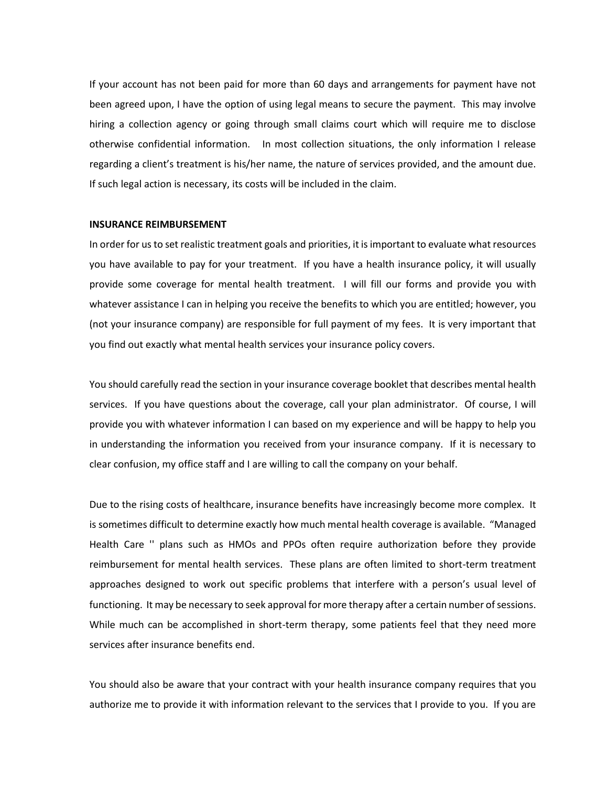If your account has not been paid for more than 60 days and arrangements for payment have not been agreed upon, I have the option of using legal means to secure the payment. This may involve hiring a collection agency or going through small claims court which will require me to disclose otherwise confidential information. In most collection situations, the only information I release regarding a client's treatment is his/her name, the nature of services provided, and the amount due. If such legal action is necessary, its costs will be included in the claim.

# **INSURANCE REIMBURSEMENT**

In order for us to set realistic treatment goals and priorities, it is important to evaluate what resources you have available to pay for your treatment. If you have a health insurance policy, it will usually provide some coverage for mental health treatment. I will fill our forms and provide you with whatever assistance I can in helping you receive the benefits to which you are entitled; however, you (not your insurance company) are responsible for full payment of my fees. It is very important that you find out exactly what mental health services your insurance policy covers.

You should carefully read the section in your insurance coverage booklet that describes mental health services. If you have questions about the coverage, call your plan administrator. Of course, I will provide you with whatever information I can based on my experience and will be happy to help you in understanding the information you received from your insurance company. If it is necessary to clear confusion, my office staff and I are willing to call the company on your behalf.

Due to the rising costs of healthcare, insurance benefits have increasingly become more complex. It is sometimes difficult to determine exactly how much mental health coverage is available. "Managed Health Care '' plans such as HMOs and PPOs often require authorization before they provide reimbursement for mental health services. These plans are often limited to short-term treatment approaches designed to work out specific problems that interfere with a person's usual level of functioning. It may be necessary to seek approval for more therapy after a certain number of sessions. While much can be accomplished in short-term therapy, some patients feel that they need more services after insurance benefits end.

You should also be aware that your contract with your health insurance company requires that you authorize me to provide it with information relevant to the services that I provide to you. If you are